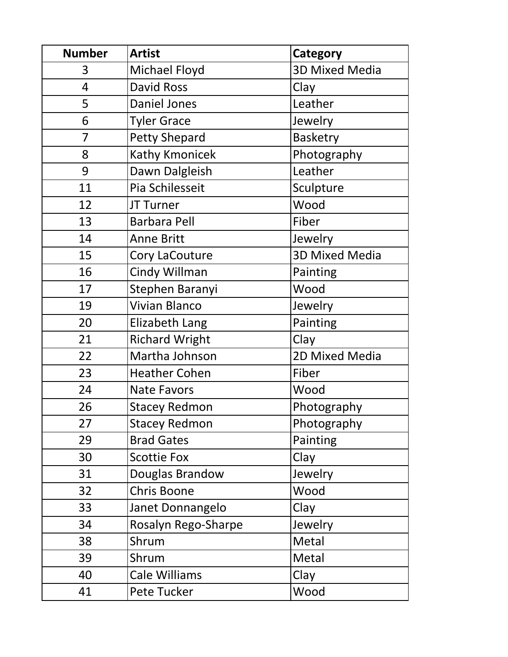| <b>Number</b>  | <b>Artist</b>         | Category              |
|----------------|-----------------------|-----------------------|
| 3              | Michael Floyd         | <b>3D Mixed Media</b> |
| $\overline{4}$ | <b>David Ross</b>     | Clay                  |
| 5              | <b>Daniel Jones</b>   | Leather               |
| 6              | <b>Tyler Grace</b>    | Jewelry               |
| $\overline{7}$ | <b>Petty Shepard</b>  | <b>Basketry</b>       |
| 8              | Kathy Kmonicek        | Photography           |
| 9              | Dawn Dalgleish        | Leather               |
| 11             | Pia Schilesseit       | Sculpture             |
| 12             | JT Turner             | Wood                  |
| 13             | <b>Barbara Pell</b>   | Fiber                 |
| 14             | <b>Anne Britt</b>     | Jewelry               |
| 15             | Cory LaCouture        | <b>3D Mixed Media</b> |
| 16             | Cindy Willman         | Painting              |
| 17             | Stephen Baranyi       | Wood                  |
| 19             | <b>Vivian Blanco</b>  | Jewelry               |
| 20             | Elizabeth Lang        | Painting              |
| 21             | <b>Richard Wright</b> | Clay                  |
| 22             | Martha Johnson        | 2D Mixed Media        |
| 23             | <b>Heather Cohen</b>  | Fiber                 |
| 24             | <b>Nate Favors</b>    | Wood                  |
| 26             | <b>Stacey Redmon</b>  | Photography           |
| 27             | <b>Stacey Redmon</b>  | Photography           |
| 29             | <b>Brad Gates</b>     | Painting              |
| 30             | <b>Scottie Fox</b>    | Clay                  |
| 31             | Douglas Brandow       | Jewelry               |
| 32             | Chris Boone           | Wood                  |
| 33             | Janet Donnangelo      | Clay                  |
| 34             | Rosalyn Rego-Sharpe   | Jewelry               |
| 38             | Shrum                 | Metal                 |
| 39             | Shrum                 | Metal                 |
| 40             | <b>Cale Williams</b>  | Clay                  |
| 41             | Pete Tucker           | Wood                  |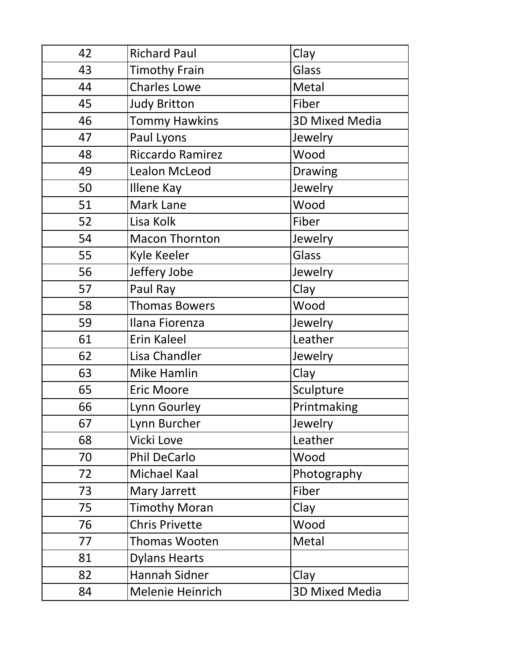| 42 | <b>Richard Paul</b>     | Clay                  |
|----|-------------------------|-----------------------|
| 43 | <b>Timothy Frain</b>    | Glass                 |
| 44 | <b>Charles Lowe</b>     | Metal                 |
| 45 | <b>Judy Britton</b>     | Fiber                 |
| 46 | <b>Tommy Hawkins</b>    | <b>3D Mixed Media</b> |
| 47 | Paul Lyons              | Jewelry               |
| 48 | <b>Riccardo Ramirez</b> | Wood                  |
| 49 | Lealon McLeod           | <b>Drawing</b>        |
| 50 | Illene Kay              | Jewelry               |
| 51 | Mark Lane               | Wood                  |
| 52 | Lisa Kolk               | Fiber                 |
| 54 | <b>Macon Thornton</b>   | Jewelry               |
| 55 | Kyle Keeler             | Glass                 |
| 56 | Jeffery Jobe            | Jewelry               |
| 57 | Paul Ray                | Clay                  |
| 58 | <b>Thomas Bowers</b>    | Wood                  |
| 59 | Ilana Fiorenza          | Jewelry               |
| 61 | Erin Kaleel             | Leather               |
| 62 | Lisa Chandler           | Jewelry               |
| 63 | <b>Mike Hamlin</b>      | Clay                  |
| 65 | <b>Eric Moore</b>       | Sculpture             |
| 66 | Lynn Gourley            | Printmaking           |
| 67 | Lynn Burcher            | Jewelry               |
| 68 | Vicki Love              | Leather               |
| 70 | <b>Phil DeCarlo</b>     | Wood                  |
| 72 | Michael Kaal            | Photography           |
| 73 | Mary Jarrett            | Fiber                 |
| 75 | <b>Timothy Moran</b>    | Clay                  |
| 76 | <b>Chris Privette</b>   | Wood                  |
| 77 | Thomas Wooten           | Metal                 |
| 81 | <b>Dylans Hearts</b>    |                       |
| 82 | Hannah Sidner           | Clay                  |
| 84 | Melenie Heinrich        | <b>3D Mixed Media</b> |